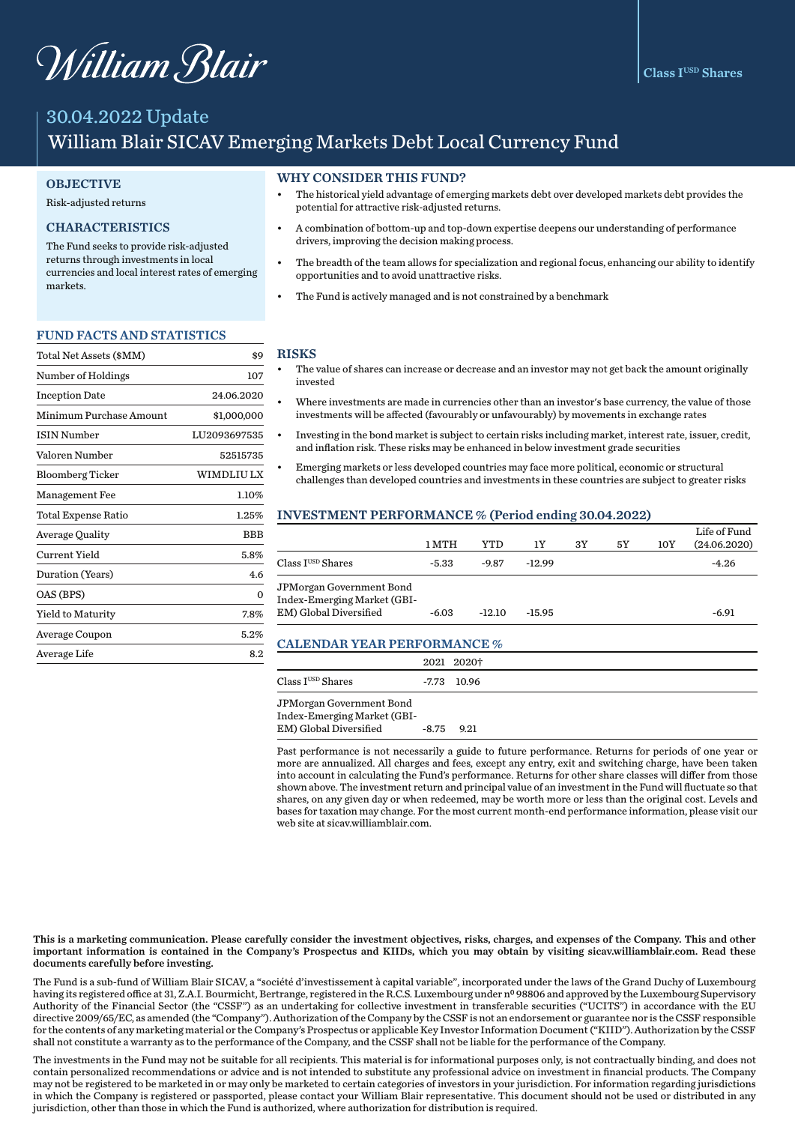# William Blair

# 30.04.2022 Update William Blair SICAV Emerging Markets Debt Local Currency Fund

### **OBJECTIVE**

#### Risk-adjusted returns

# CHARACTERISTICS

The Fund seeks to provide risk-adjusted returns through investments in local currencies and local interest rates of emerging markets.

#### FUND FACTS AND STATISTICS

| Total Net Assets (\$MM) | \$9          |
|-------------------------|--------------|
| Number of Holdings      | 107          |
| <b>Inception Date</b>   | 24.06.2020   |
| Minimum Purchase Amount | \$1,000,000  |
| <b>ISIN Number</b>      | LU2093697535 |
| Valoren Number          | 52515735     |
| <b>Bloomberg Ticker</b> | WIMDLIU LX   |
| <b>Management Fee</b>   | 1.10%        |
| Total Expense Ratio     | 1.25%        |
| Average Quality         | BBB          |
| Current Yield           | 5.8%         |
| Duration (Years)        | 4.6          |
| OAS (BPS)               | $\Omega$     |
| Yield to Maturity       | 7.8%         |
| Average Coupon          | 5.2%         |
| Average Life            | 8.2          |

#### WHY CONSIDER THIS FUND?

- The historical yield advantage of emerging markets debt over developed markets debt provides the potential for attractive risk-adjusted returns.
- A combination of bottom-up and top-down expertise deepens our understanding of performance drivers, improving the decision making process.
- The breadth of the team allows for specialization and regional focus, enhancing our ability to identify opportunities and to avoid unattractive risks.
- The Fund is actively managed and is not constrained by a benchmark

#### RISKS

- The value of shares can increase or decrease and an investor may not get back the amount originally invested
- Where investments are made in currencies other than an investor's base currency, the value of those investments will be affected (favourably or unfavourably) by movements in exchange rates
- Investing in the bond market is subject to certain risks including market, interest rate, issuer, credit, and inflation risk. These risks may be enhanced in below investment grade securities
- Emerging markets or less developed countries may face more political, economic or structural challenges than developed countries and investments in these countries are subject to greater risks

#### INVESTMENT PERFORMANCE % (Period ending 30.04.2022)

|                                                                                   | 1 MTH   | YTD      | 1Y       | 3Y | 5Y | 10Y | Life of Fund<br>(24.06.2020) |
|-----------------------------------------------------------------------------------|---------|----------|----------|----|----|-----|------------------------------|
| $\rm Class\,I^{USD}\,Shares$                                                      | $-5.33$ | $-9.87$  | $-12.99$ |    |    |     | $-4.26$                      |
| JPMorgan Government Bond<br>Index-Emerging Market (GBI-<br>EM) Global Diversified | $-6.03$ | $-12.10$ | $-15.95$ |    |    |     | $-6.91$                      |

### CALENDAR YEAR PERFORMANCE %

|                              | 2021 2020†    |
|------------------------------|---------------|
| $\rm Class\,I^{USD}\,Shares$ | $-7.73$ 10.96 |
| JPMorgan Government Bond     |               |
| Index-Emerging Market (GBI-  |               |
| EM) Global Diversified       | $-8.75$ 9.21  |

Past performance is not necessarily a guide to future performance. Returns for periods of one year or more are annualized. All charges and fees, except any entry, exit and switching charge, have been taken into account in calculating the Fund's performance. Returns for other share classes will differ from those shown above. The investment return and principal value of an investment in the Fund will fluctuate so that shares, on any given day or when redeemed, may be worth more or less than the original cost. Levels and bases for taxation may change. For the most current month-end performance information, please visit our web site at sicav.williamblair.com.

This is a marketing communication. Please carefully consider the investment objectives, risks, charges, and expenses of the Company. This and other important information is contained in the Company's Prospectus and KIIDs, which you may obtain by visiting sicav.williamblair.com. Read these documents carefully before investing.

The Fund is a sub-fund of William Blair SICAV, a "société d'investissement à capital variable", incorporated under the laws of the Grand Duchy of Luxembourg having its registered office at 31, Z.A.I. Bourmicht, Bertrange, registered in the R.C.S. Luxembourg under nº 98806 and approved by the Luxembourg Supervisory Authority of the Financial Sector (the "CSSF") as an undertaking for collective investment in transferable securities ("UCITS") in accordance with the EU directive 2009/65/EC, as amended (the "Company"). Authorization of the Company by the CSSF is not an endorsement or guarantee nor is the CSSF responsible for the contents of any marketing material or the Company's Prospectus or applicable Key Investor Information Document ("KIID"). Authorization by the CSSF shall not constitute a warranty as to the performance of the Company, and the CSSF shall not be liable for the performance of the Company.

The investments in the Fund may not be suitable for all recipients. This material is for informational purposes only, is not contractually binding, and does not contain personalized recommendations or advice and is not intended to substitute any professional advice on investment in financial products. The Company may not be registered to be marketed in or may only be marketed to certain categories of investors in your jurisdiction. For information regarding jurisdictions in which the Company is registered or passported, please contact your William Blair representative. This document should not be used or distributed in any jurisdiction, other than those in which the Fund is authorized, where authorization for distribution is required.